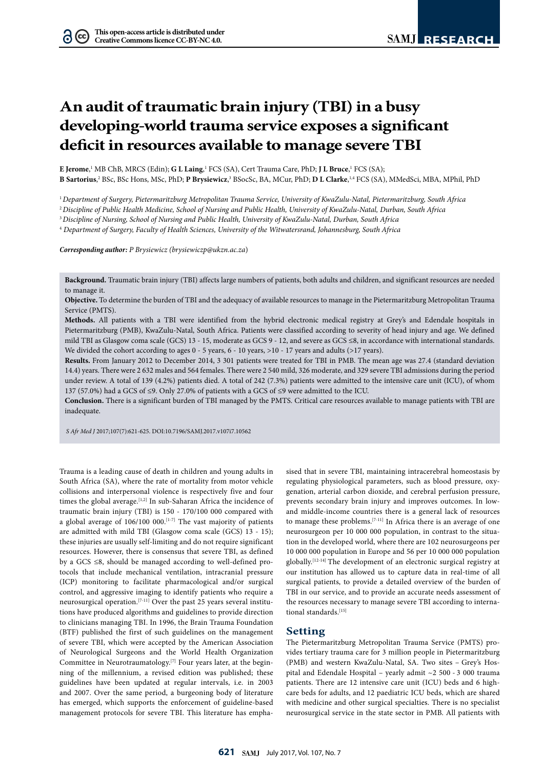# **An audit of traumatic brain injury (TBI) in a busy developing-world trauma service exposes a significant deficit in resources available to manage severe TBI**

E Jerome,<sup>1</sup> MB ChB, MRCS (Edin); **G L Laing**,<sup>1</sup> FCS (SA), Cert Trauma Care, PhD; **J L Bruce**,<sup>1</sup> FCS (SA);

**B Sartorius**,<sup>2</sup> BSc, BSc Hons, MSc, PhD; **P Brysiewicz**,<sup>3</sup> BSocSc, BA, MCur, PhD; **D L Clarke**,<sup>1,4</sup> FCS (SA), MMedSci, MBA, MPhil, PhD

<sup>1</sup>*Department of Surgery, Pietermaritzburg Metropolitan Trauma Service, University of KwaZulu-Natal, Pietermaritzburg, South Africa*

<sup>2</sup>*Discipline of Public Health Medicine, School of Nursing and Public Health, University of KwaZulu-Natal, Durban, South Africa*

<sup>3</sup>*Discipline of Nursing, School of Nursing and Public Health, University of KwaZulu-Natal, Durban, South Africa*

4  *Department of Surgery, Faculty of Health Sciences, University of the Witwatersrand, Johannesburg, South Africa*

*Corresponding author: P Brysiewicz (brysiewiczp@ukzn.ac.za*)

**Background.** Traumatic brain injury (TBI) affects large numbers of patients, both adults and children, and significant resources are needed to manage it.

**Objective.** To determine the burden of TBI and the adequacy of available resources to manage in the Pietermaritzburg Metropolitan Trauma Service (PMTS).

**Methods.** All patients with a TBI were identified from the hybrid electronic medical registry at Grey's and Edendale hospitals in Pietermaritzburg (PMB), KwaZulu-Natal, South Africa. Patients were classified according to severity of head injury and age. We defined mild TBI as Glasgow coma scale (GCS) 13 - 15, moderate as GCS 9 - 12, and severe as GCS ≤8, in accordance with international standards. We divided the cohort according to ages  $0 - 5$  years,  $6 - 10$  years,  $> 10 - 17$  years and adults ( $> 17$  years).

**Results.** From January 2012 to December 2014, 3 301 patients were treated for TBI in PMB. The mean age was 27.4 (standard deviation 14.4) years. There were 2 632 males and 564 females. There were 2 540 mild, 326 moderate, and 329 severe TBI admissions during the period under review. A total of 139 (4.2%) patients died. A total of 242 (7.3%) patients were admitted to the intensive care unit (ICU), of whom 137 (57.0%) had a GCS of ≤9. Only 27.0% of patients with a GCS of ≤9 were admitted to the ICU.

**Conclusion.** There is a significant burden of TBI managed by the PMTS. Critical care resources available to manage patients with TBI are inadequate.

*S Afr Med J* 2017;107(7):621-625. DOI:10.7196/SAMJ.2017.v107i7.10562

Trauma is a leading cause of death in children and young adults in South Africa (SA), where the rate of mortality from motor vehicle collisions and interpersonal violence is respectively five and four times the global average.<sup>[1,2]</sup> In sub-Saharan Africa the incidence of traumatic brain injury (TBI) is 150 - 170/100 000 compared with a global average of  $106/100 000$ .<sup>[1-7]</sup> The vast majority of patients are admitted with mild TBI (Glasgow coma scale (GCS) 13 - 15); these injuries are usually self-limiting and do not require significant resources. However, there is consensus that severe TBI, as defined by a GCS ≤8, should be managed according to well-defined protocols that include mechanical ventilation, intracranial pressure (ICP) monitoring to facilitate pharmacological and/or surgical control, and aggressive imaging to identify patients who require a neurosurgical operation.[7-11] Over the past 25 years several institutions have produced algorithms and guidelines to provide direction to clinicians managing TBI. In 1996, the Brain Trauma Foundation (BTF) published the first of such guidelines on the management of severe TBI, which were accepted by the American Association of Neurological Surgeons and the World Health Organization Committee in Neurotraumatology.[7] Four years later, at the beginning of the millennium, a revised edition was published; these guidelines have been updated at regular intervals, i.e. in 2003 and 2007. Over the same period, a burgeoning body of literature has emerged, which supports the enforcement of guideline-based management protocols for severe TBI. This literature has empha-

sised that in severe TBI, maintaining intracerebral homeostasis by regulating physiological parameters, such as blood pressure, oxygenation, arterial carbon dioxide, and cerebral perfusion pressure, prevents secondary brain injury and improves outcomes. In lowand middle-income countries there is a general lack of resources to manage these problems.[7-11] In Africa there is an average of one neurosurgeon per 10 000 000 population, in contrast to the situation in the developed world, where there are 102 neurosurgeons per 10 000 000 population in Europe and 56 per 10 000 000 population globally.[12-14] The development of an electronic surgical registry at our institution has allowed us to capture data in real-time of all surgical patients, to provide a detailed overview of the burden of TBI in our service, and to provide an accurate needs assessment of the resources necessary to manage severe TBI according to international standards.[15]

#### **Setting**

The Pietermaritzburg Metropolitan Trauma Service (PMTS) provides tertiary trauma care for 3 million people in Pietermaritzburg (PMB) and western KwaZulu-Natal, SA. Two sites – Grey's Hospital and Edendale Hospital – yearly admit ~2 500 - 3 000 trauma patients. There are 12 intensive care unit (ICU) beds and 6 highcare beds for adults, and 12 paediatric ICU beds, which are shared with medicine and other surgical specialties. There is no specialist neurosurgical service in the state sector in PMB. All patients with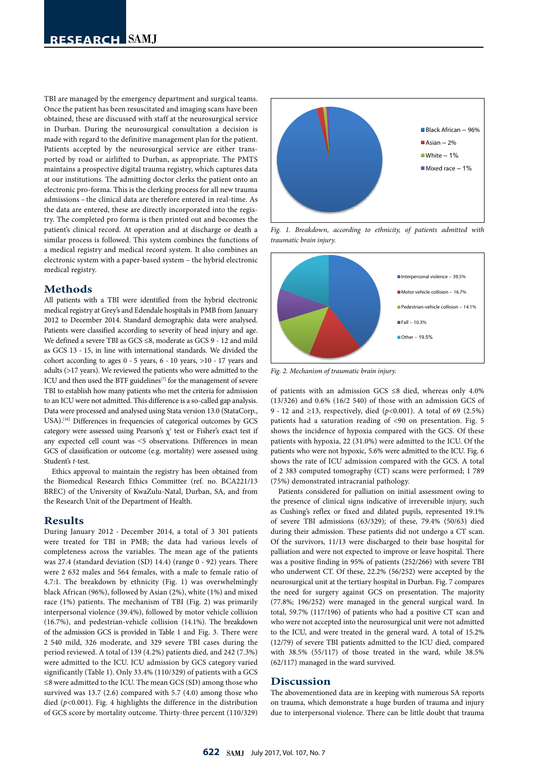TBI are managed by the emergency department and surgical teams. Once the patient has been resuscitated and imaging scans have been obtained, these are discussed with staff at the neurosurgical service in Durban. During the neurosurgical consultation a decision is made with regard to the definitive management plan for the patient. Patients accepted by the neurosurgical service are either transported by road or airlifted to Durban, as appropriate. The PMTS maintains a prospective digital trauma registry, which captures data at our institutions. The admitting doctor clerks the patient onto an electronic pro-forma. This is the clerking process for all new trauma admissions – the clinical data are therefore entered in real-time. As the data are entered, these are directly incorporated into the registry. The completed pro forma is then printed out and becomes the patient's clinical record. At operation and at discharge or death a similar process is followed. This system combines the functions of a medical registry and medical record system. It also combines an electronic system with a paper-based system – the hybrid electronic medical registry.

## **Methods**

All patients with a TBI were identified from the hybrid electronic medical registry at Grey's and Edendale hospitals in PMB from January 2012 to December 2014. Standard demographic data were analysed. Patients were classified according to severity of head injury and age. We defined a severe TBI as GCS ≤8, moderate as GCS 9 - 12 and mild as GCS 13 - 15, in line with international standards. We divided the cohort according to ages 0 - 5 years, 6 - 10 years, >10 - 17 years and adults (>17 years). We reviewed the patients who were admitted to the ICU and then used the BTF guidelines<sup>[7]</sup> for the management of severe TBI to establish how many patients who met the criteria for admission to an ICU were not admitted. This difference is a so-called gap analysis. Data were processed and analysed using Stata version 13.0 (StataCorp., USA).[16] Differences in frequencies of categorical outcomes by GCS category were assessed using Pearson's  $\chi^2$  test or Fisher's exact test if any expected cell count was ˂5 observations. Differences in mean GCS of classification or outcome (e.g. mortality) were assessed using Student's *t*-test.

Ethics approval to maintain the registry has been obtained from the Biomedical Research Ethics Committee (ref. no. BCA221/13 BREC) of the University of KwaZulu-Natal, Durban, SA, and from the Research Unit of the Department of Health.

# **Results**

During January 2012 - December 2014, a total of 3 301 patients were treated for TBI in PMB; the data had various levels of completeness across the variables. The mean age of the patients was 27.4 (standard deviation (SD) 14.4) (range 0 - 92) years. There were 2 632 males and 564 females, with a male to female ratio of 4.7:1. The breakdown by ethnicity (Fig. 1) was overwhelmingly black African (96%), followed by Asian (2%), white (1%) and mixed race (1%) patients. The mechanism of TBI (Fig. 2) was primarily interpersonal violence (39.4%), followed by motor vehicle collision (16.7%), and pedestrian-vehicle collision (14.1%). The breakdown of the admission GCS is provided in Table 1 and Fig. 3. There were 2 540 mild, 326 moderate, and 329 severe TBI cases during the period reviewed. A total of 139 (4.2%) patients died, and 242 (7.3%) were admitted to the ICU. ICU admission by GCS category varied significantly (Table 1). Only 33.4% (110/329) of patients with a GCS ≤8 were admitted to the ICU. The mean GCS (SD) among those who survived was 13.7 (2.6) compared with 5.7 (4.0) among those who died (*p*<0.001). Fig. 4 highlights the difference in the distribution of GCS score by mortality outcome. Thirty-three percent (110/329)



*Fig. 1. Breakdown, according to ethnicity, of patients admitted with traumatic brain injury.*



*Fig. 2. Mechanism of traumatic brain injury.*

of patients with an admission GCS ≤8 died, whereas only 4.0% (13/326) and 0.6% (16/2 540) of those with an admission GCS of 9 - 12 and ≥13, respectively, died (*p*<0.001). A total of 69 (2.5%) patients had a saturation reading of <90 on presentation. Fig. 5 shows the incidence of hypoxia compared with the GCS. Of these patients with hypoxia, 22 (31.0%) were admitted to the ICU. Of the patients who were not hypoxic, 5.6% were admitted to the ICU. Fig. 6 shows the rate of ICU admission compared with the GCS. A total of 2 383 computed tomography (CT) scans were performed; 1 789 (75%) demonstrated intracranial pathology.

Patients considered for palliation on initial assessment owing to the presence of clinical signs indicative of irreversible injury, such as Cushing's reflex or fixed and dilated pupils, represented 19.1% of severe TBI admissions (63/329); of these, 79.4% (50/63) died during their admission. These patients did not undergo a CT scan. Of the survivors, 11/13 were discharged to their base hospital for palliation and were not expected to improve or leave hospital. There was a positive finding in 95% of patients (252/266) with severe TBI who underwent CT. Of these, 22.2% (56/252) were accepted by the neurosurgical unit at the tertiary hospital in Durban. Fig. 7 compares the need for surgery against GCS on presentation. The majority (77.8%; 196/252) were managed in the general surgical ward. In total, 59.7% (117/196) of patients who had a positive CT scan and who were not accepted into the neurosurgical unit were not admitted to the ICU, and were treated in the general ward. A total of 15.2% (12/79) of severe TBI patients admitted to the ICU died, compared with 38.5% (55/117) of those treated in the ward, while 38.5% (62/117) managed in the ward survived.

### **Discussion**

The abovementioned data are in keeping with numerous SA reports on trauma, which demonstrate a huge burden of trauma and injury due to interpersonal violence. There can be little doubt that trauma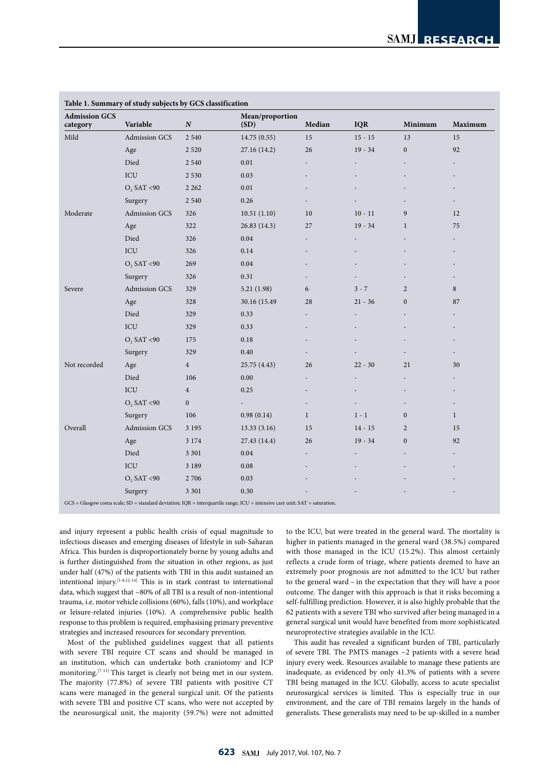| <b>Admission GCS</b><br>category | Variable                | $\boldsymbol{N}$ | Mean/proportion<br>(SD) | Median       | <b>IQR</b> | Minimum          | Maximum                  |
|----------------------------------|-------------------------|------------------|-------------------------|--------------|------------|------------------|--------------------------|
| Mild                             | <b>Admission GCS</b>    | 2 5 4 0          | 14.75 (0.55)            | 15           | $15 - 15$  | 13               | 15                       |
|                                  | Age                     | 2 5 2 0          | 27.16 (14.2)            | 26           | $19 - 34$  | $\boldsymbol{0}$ | 92                       |
|                                  | Died                    | 2 5 4 0          | 0.01                    |              |            |                  |                          |
|                                  | ICU                     | 2 5 3 0          | 0.03                    |              |            |                  |                          |
|                                  | O <sub>2</sub> SAT < 90 | 2 2 6 2          | 0.01                    |              |            |                  |                          |
|                                  | Surgery                 | 2 5 4 0          | 0.26                    |              |            |                  |                          |
| Moderate                         | Admission GCS           | 326              | 10.51(1.10)             | 10           | $10 - 11$  | 9                | 12                       |
|                                  | Age                     | 322              | 26.83 (14.3)            | 27           | $19 - 34$  | $\mathbf{1}$     | 75                       |
|                                  | Died                    | 326              | 0.04                    |              |            |                  |                          |
|                                  | ICU                     | 326              | 0.14                    |              |            |                  | $\overline{\phantom{a}}$ |
|                                  | $O_2$ SAT <90           | 269              | $0.04\,$                |              |            |                  |                          |
|                                  | Surgery                 | 326              | 0.31                    |              |            |                  |                          |
| Severe                           | Admission GCS           | 329              | 5.21 (1.98)             | 6            | $3 - 7$    | $\overline{2}$   | 8                        |
|                                  | Age                     | 328              | 30.16 (15.49)           | 28           | $21 - 36$  | $\boldsymbol{0}$ | 87                       |
|                                  | Died                    | 329              | 0.33                    |              |            |                  | $\overline{a}$           |
|                                  | ICU                     | 329              | 0.33                    |              |            |                  |                          |
|                                  | $O_2$ SAT <90           | 175              | 0.18                    |              |            |                  |                          |
|                                  | Surgery                 | 329              | 0.40                    |              |            |                  | $\overline{\phantom{a}}$ |
| Not recorded                     | Age                     | $\overline{4}$   | 25.75 (4.43)            | 26           | $22 - 30$  | 21               | 30                       |
|                                  | Died                    | 106              | 0.00                    |              |            |                  | $\overline{a}$           |
|                                  | ICU                     | $\overline{4}$   | 0.25                    |              |            |                  |                          |
|                                  | $O_2$ SAT <90           | $\boldsymbol{0}$ |                         |              |            |                  |                          |
|                                  | Surgery                 | 106              | 0.98(0.14)              | $\mathbf{1}$ | $1 - 1$    | $\boldsymbol{0}$ | $\mathbf{1}$             |
| Overall                          | Admission GCS           | 3 1 9 5          | 13.33(3.16)             | 15           | $14 - 15$  | $\overline{2}$   | 15                       |
|                                  | Age                     | 3 1 7 4          | 27.43 (14.4)            | 26           | $19 - 34$  | $\boldsymbol{0}$ | 92                       |
|                                  | Died                    | 3 3 0 1          | 0.04                    |              |            |                  |                          |
|                                  | ICU                     | 3 1 8 9          | 0.08                    |              |            |                  |                          |
|                                  | $O2$ SAT <90            | 2 706            | 0.03                    |              |            |                  |                          |
|                                  | Surgery                 | 3 3 0 1          | 0.30                    |              |            |                  |                          |

and injury represent a public health crisis of equal magnitude to infectious diseases and emerging diseases of lifestyle in sub-Saharan Africa. This burden is disproportionately borne by young adults and is further distinguished from the situation in other regions, as just under half (47%) of the patients with TBI in this audit sustained an intentional injury.<sup>[1-6,12-14]</sup> This is in stark contrast to international data, which suggest that ~80% of all TBI is a result of non-intentional trauma, i.e. motor vehicle collisions (60%), falls (10%), and workplace or leisure-related injuries (10%). A comprehensive public health response to this problem is required, emphasising primary preventive strategies and increased resources for secondary prevention.

Most of the published guidelines suggest that all patients with severe TBI require CT scans and should be managed in an institution, which can undertake both craniotomy and ICP monitoring.[7-11] This target is clearly not being met in our system. The majority (77.8%) of severe TBI patients with positive CT scans were managed in the general surgical unit. Of the patients with severe TBI and positive CT scans, who were not accepted by the neurosurgical unit, the majority (59.7%) were not admitted to the ICU, but were treated in the general ward. The mortality is higher in patients managed in the general ward (38.5%) compared with those managed in the ICU (15.2%). This almost certainly reflects a crude form of triage, where patients deemed to have an extremely poor prognosis are not admitted to the ICU but rather to the general ward – in the expectation that they will have a poor outcome. The danger with this approach is that it risks becoming a self-fulfilling prediction. However, it is also highly probable that the 62 patients with a severe TBI who survived after being managed in a general surgical unit would have benefited from more sophisticated neuroprotective strategies available in the ICU.

This audit has revealed a significant burden of TBI, particularly of severe TBI. The PMTS manages ~2 patients with a severe head injury every week. Resources available to manage these patients are inadequate, as evidenced by only 41.3% of patients with a severe TBI being managed in the ICU. Globally, access to acute specialist neurosurgical services is limited. This is especially true in our environment, and the care of TBI remains largely in the hands of generalists. These generalists may need to be up-skilled in a number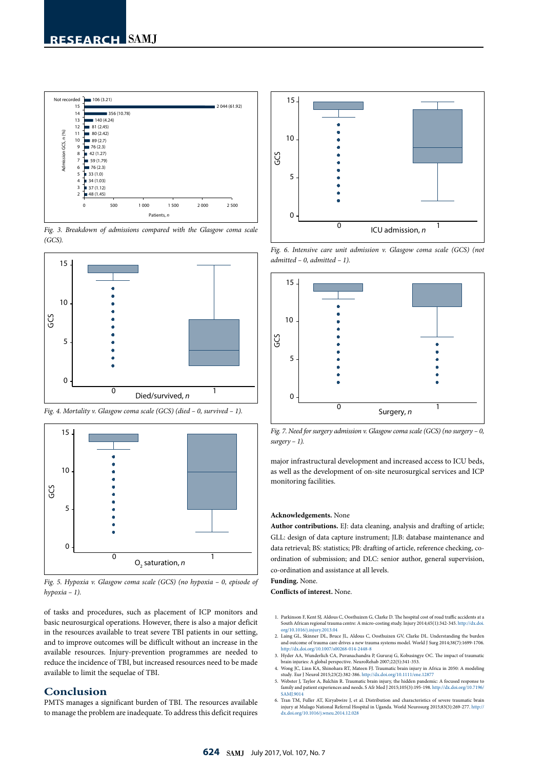

*Fig. 3. Breakdown of admissions compared with the Glasgow coma scale (GCS).*



*Fig. 4. Mortality v. Glasgow coma scale (GCS) (died – 0, survived – 1).*



*Fig. 5. Hypoxia v. Glasgow coma scale (GCS) (no hypoxia – 0, episode of hypoxia – 1).*

of tasks and procedures, such as placement of ICP monitors and basic neurosurgical operations. However, there is also a major deficit in the resources available to treat severe TBI patients in our setting, and to improve outcomes will be difficult without an increase in the available resources. Injury-prevention programmes are needed to reduce the incidence of TBI, but increased resources need to be made available to limit the sequelae of TBI.

# **Conclusion**

PMTS manages a significant burden of TBI. The resources available to manage the problem are inadequate. To address this deficit requires



*Fig. 6. Intensive care unit admission v. Glasgow coma scale (GCS) (not admitted – 0, admitted – 1).*



*Fig. 7. Need for surgery admission v. Glasgow coma scale (GCS) (no surgery – 0, surgery – 1).*

major infrastructural development and increased access to ICU beds, as well as the development of on-site neurosurgical services and ICP monitoring facilities.

#### **Acknowledgements.** None

**Author contributions.** EJ: data cleaning, analysis and drafting of article; GLL: design of data capture instrument; JLB: database maintenance and data retrieval; BS: statistics; PB: drafting of article, reference checking, coordination of submission; and DLC: senior author, general supervision, co-ordination and assistance at all levels.

#### **Funding.** None.

**Conflicts of interest.** None.

- 1. Parkinson F, Kent SJ, Aldous C, Oosthuizen G, Clarke D. The hospital cost of road traffic accidents at a South African regional trauma centre: A micro-costing study. Injury 2014;45(1):342-345. [http://dx.doi.](http://dx.doi.org/10.1016/j.injury.2013.04 ) [org/10.1016/j.injury.2013.04](http://dx.doi.org/10.1016/j.injury.2013.04 )
- 2. Laing GL, Skinner DL, Bruce JL, Aldous C, Oosthuizen GV, Clarke DL. Understanding the burden and outcome of trauma care drives a new trauma systems model*.* World J Surg 2014;38(7):1699-1706. <http://dx.doi.org/10.1007/s00268-014-2448-8>
- 3. Hyder AA, Wunderlich CA, Puvanachandra P, Gururaj G, Kobusingye OC. The impact of traumatic brain injuries: A global perspective. NeuroRehab 2007;22(5):341-353. 4. Wong JC, Linn KA, Shinohara RT, Mateen FJ. Traumatic brain injury in Africa in 2050: A modeling
- study*.* Eur J Neurol 2015;23(2):382-386. http://dx.doi.org/10.1111/ene.12877 5. Webster J, Taylor A, Balchin R. Traumatic brain injury, the hidden pandemic: A focused response to
- family and patient experiences and needs. S Afr Med J 2015;105(3):195-198. [http://dx.doi.org/10.7196/](http://dx.doi.org/10.7196/SAMJ.9014 ) [SAMJ.9014](http://dx.doi.org/10.7196/SAMJ.9014 )
- 6. Tran TM, Fuller AT, Kiryabwire J, et al. Distribution and characteristics of severe traumatic brain injury at Mulago National Referral Hospital in Uganda. World Neurosurg 2015;83(3):269-277. http:// dx.doi.org/10.1016/j.wneu.2014.12.028